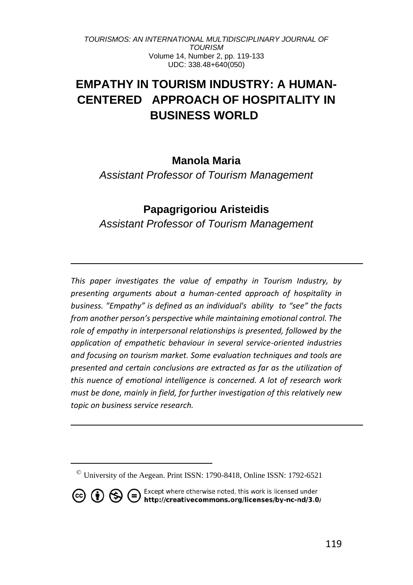# **EMPATHY IN TOURISM INDUSTRY: A HUMAN-CENTERED APPROACH OF HOSPITALITY IN BUSINESS WORLD<sup>2</sup>**

### **Manola Maria**

*Assistant Professor of Tourism Management*

## **Papagrigoriou Aristeidis**

*Assistant Professor of Tourism Management*

*This paper investigates the value of empathy in Tourism Industry, by presenting arguments about a human-cented approach of hospitality in business. "Empathy" is defined as an individual's ability to "see" the facts from another person's perspective while maintaining emotional control. The role of empathy in interpersonal relationships is presented, followed by the application of empathetic behaviour in several service-oriented industries and focusing on tourism market. Some evaluation techniques and tools are presented and certain conclusions are extracted as far as the utilization of this nuence of emotional intelligence is concerned. A lot of research work must be done, mainly in field, for further investigation of this relatively new topic on business service research.*

 $\textdegree$  University of the Aegean. Print ISSN: 1790-8418, Online ISSN: 1792-6521

**CO (i)**  $\bigoplus$  **C** Except where otherwise noted, this work is licensed under<br>http://creativecommons.org/licenses/by-nc-nd/3.0/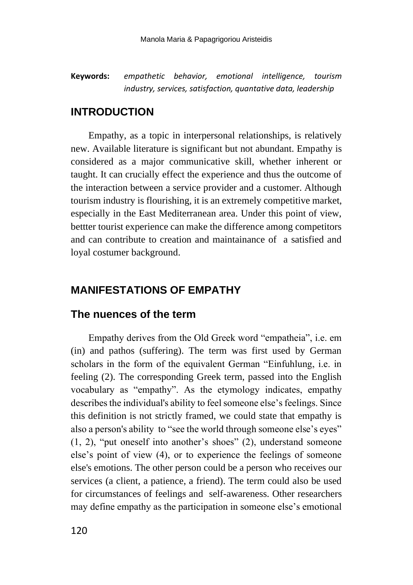**Keywords:** *empathetic behavior, emotional intelligence, tourism industry, services, satisfaction, quantative data, leadership*

### **INTRODUCTION**

Empathy, as a topic in interpersonal relationships, is relatively new. Available literature is significant but not abundant. Empathy is considered as a major communicative skill, whether inherent or taught. It can crucially effect the experience and thus the outcome of the interaction between a service provider and a customer. Although tourism industry is flourishing, it is an extremely competitive market, especially in the East Mediterranean area. Under this point of view, bettter tourist experience can make the difference among competitors and can contribute to creation and maintainance of a satisfied and loyal costumer background.

### **MANIFESTATIONS OF EMPATHY**

#### **The nuences of the term**

Empathy derives from the Old Greek word "empatheia", i.e. em (in) and pathos (suffering). The term was first used by German scholars in the form of the equivalent German "Einfuhlung, i.e. in feeling (2). The corresponding Greek term, passed into the English vocabulary as "empathy". As the etymology indicates, empathy describes the individual's ability to feel someone else's feelings. Since this definition is not strictly framed, we could state that empathy is also a person's ability to "see the world through someone else's eyes" (1, 2), "put oneself into another's shoes" (2), understand someone else's point of view (4), or to experience the feelings of someone else's emotions. The other person could be a person who receives our services (a client, a patience, a friend). The term could also be used for circumstances of feelings and self-awareness. Other researchers may define empathy as the participation in someone else's emotional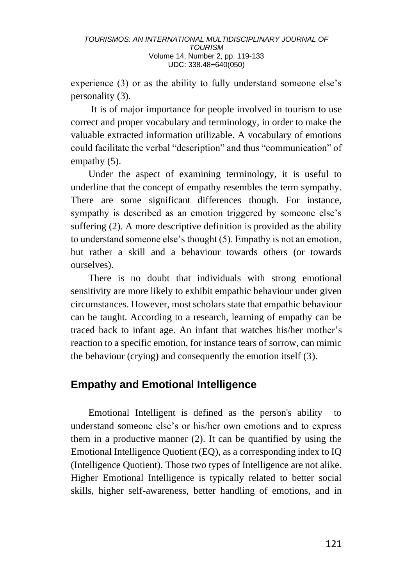experience (3) or as the ability to fully understand someone else's personality (3).

It is of major importance for people involved in tourism to use correct and proper vocabulary and terminology, in order to make the valuable extracted information utilizable. A vocabulary of emotions could facilitate the verbal "description" and thus "communication" of empathy  $(5)$ .

Under the aspect of examining terminology, it is useful to underline that the concept of empathy resembles the term sympathy. There are some significant differences though. For instance, sympathy is described as an emotion triggered by someone else's suffering (2). A more descriptive definition is provided as the ability to understand someone else's thought (5). Empathy is not an emotion, but rather a skill and a behaviour towards others (or towards ourselves).

There is no doubt that individuals with strong emotional sensitivity are more likely to exhibit empathic behaviour under given circumstances. However, most scholars state that empathic behaviour can be taught. According to a research, learning of empathy can be traced back to infant age. An infant that watches his/her mother's reaction to a specific emotion, for instance tears of sorrow, can mimic the behaviour (crying) and consequently the emotion itself (3).

# **Empathy and Emotional Intelligence**

Emotional Intelligent is defined as the person's ability to understand someone else's or his/her own emotions and to express them in a productive manner (2). It can be quantified by using the Emotional Intelligence Quotient (EQ), as a corresponding index to IQ (Intelligence Quotient). Those two types of Intelligence are not alike. Higher Emotional Intelligence is typically related to better social skills, higher self-awareness, better handling of emotions, and in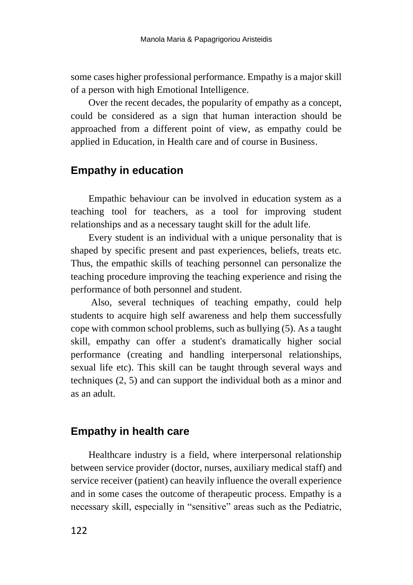some cases higher professional performance. Empathy is a major skill of a person with high Emotional Intelligence.

Over the recent decades, the popularity of empathy as a concept, could be considered as a sign that human interaction should be approached from a different point of view, as empathy could be applied in Education, in Health care and of course in Business.

# **Empathy in education**

Empathic behaviour can be involved in education system as a teaching tool for teachers, as a tool for improving student relationships and as a necessary taught skill for the adult life.

Every student is an individual with a unique personality that is shaped by specific present and past experiences, beliefs, treats etc. Thus, the empathic skills of teaching personnel can personalize the teaching procedure improving the teaching experience and rising the performance of both personnel and student.

Also, several techniques of teaching empathy, could help students to acquire high self awareness and help them successfully cope with common school problems, such as bullying (5). As a taught skill, empathy can offer a student's dramatically higher social performance (creating and handling interpersonal relationships, sexual life etc). This skill can be taught through several ways and techniques (2, 5) and can support the individual both as a minor and as an adult.

# **Empathy in health care**

Healthcare industry is a field, where interpersonal relationship between service provider (doctor, nurses, auxiliary medical staff) and service receiver (patient) can heavily influence the overall experience and in some cases the outcome of therapeutic process. Empathy is a necessary skill, especially in "sensitive" areas such as the Pediatric,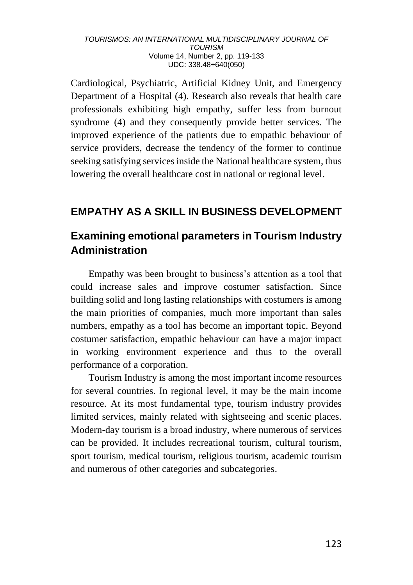Cardiological, Psychiatric, Artificial Kidney Unit, and Emergency Department of a Hospital (4). Research also reveals that health care professionals exhibiting high empathy, suffer less from burnout syndrome (4) and they consequently provide better services. The improved experience of the patients due to empathic behaviour of service providers, decrease the tendency of the former to continue seeking satisfying services inside the National healthcare system, thus lowering the overall healthcare cost in national or regional level.

# **EMPATHY AS A SKILL IN BUSINESS DEVELOPMENT**

# **Examining emotional parameters in Tourism Industry Administration**

Empathy was been brought to business's attention as a tool that could increase sales and improve costumer satisfaction. Since building solid and long lasting relationships with costumers is among the main priorities of companies, much more important than sales numbers, empathy as a tool has become an important topic. Beyond costumer satisfaction, empathic behaviour can have a major impact in working environment experience and thus to the overall performance of a corporation.

Tourism Industry is among the most important income resources for several countries. In regional level, it may be the main income resource. At its most fundamental type, tourism industry provides limited services, mainly related with sightseeing and scenic places. Modern-day tourism is a broad industry, where numerous of services can be provided. It includes recreational tourism, cultural tourism, sport tourism, medical tourism, religious tourism, academic tourism and numerous of other categories and subcategories.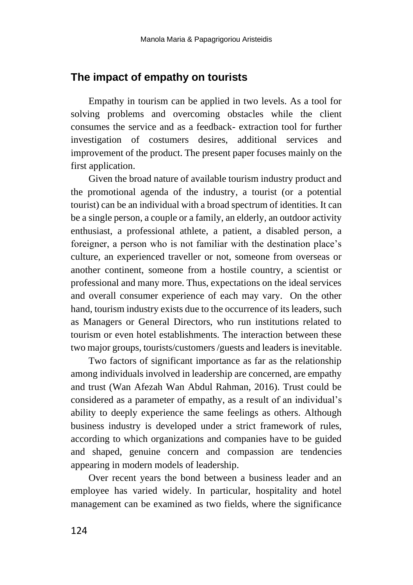### **The impact of empathy on tourists**

Empathy in tourism can be applied in two levels. As a tool for solving problems and overcoming obstacles while the client consumes the service and as a feedback- extraction tool for further investigation of costumers desires, additional services and improvement of the product. The present paper focuses mainly on the first application.

Given the broad nature of available tourism industry product and the promotional agenda of the industry, a tourist (or a potential tourist) can be an individual with a broad spectrum of identities. It can be a single person, a couple or a family, an elderly, an outdoor activity enthusiast, a professional athlete, a patient, a disabled person, a foreigner, a person who is not familiar with the destination place's culture, an experienced traveller or not, someone from overseas or another continent, someone from a hostile country, a scientist or professional and many more. Thus, expectations on the ideal services and overall consumer experience of each may vary. On the other hand, tourism industry exists due to the occurrence of its leaders, such as Managers or General Directors, who run institutions related to tourism or even hotel establishments. The interaction between these two major groups, tourists/customers /guests and leaders is inevitable.

Two factors of significant importance as far as the relationship among individuals involved in leadership are concerned, are empathy and trust (Wan Afezah Wan Abdul Rahman, 2016). Trust could be considered as a parameter of empathy, as a result of an individual's ability to deeply experience the same feelings as others. Although business industry is developed under a strict framework of rules, according to which organizations and companies have to be guided and shaped, genuine concern and compassion are tendencies appearing in modern models of leadership.

Over recent years the bond between a business leader and an employee has varied widely. In particular, hospitality and hotel management can be examined as two fields, where the significance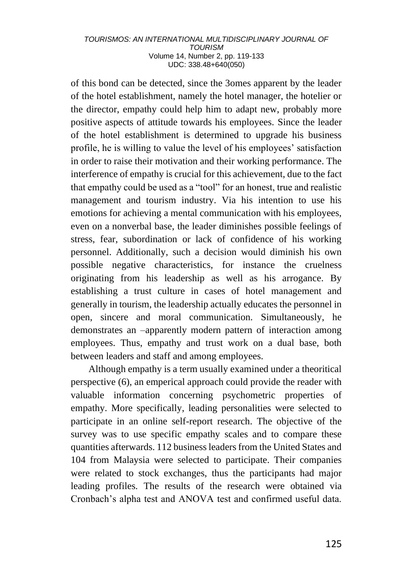of this bond can be detected, since the 3omes apparent by the leader of the hotel establishment, namely the hotel manager, the hotelier or the director, empathy could help him to adapt new, probably more positive aspects of attitude towards his employees. Since the leader of the hotel establishment is determined to upgrade his business profile, he is willing to value the level of his employees' satisfaction in order to raise their motivation and their working performance. The interference of empathy is crucial for this achievement, due to the fact that empathy could be used as a "tool" for an honest, true and realistic management and tourism industry. Via his intention to use his emotions for achieving a mental communication with his employees, even on a nonverbal base, the leader diminishes possible feelings of stress, fear, subordination or lack of confidence of his working personnel. Additionally, such a decision would diminish his own possible negative characteristics, for instance the cruelness originating from his leadership as well as his arrogance. By establishing a trust culture in cases of hotel management and generally in tourism, the leadership actually educates the personnel in open, sincere and moral communication. Simultaneously, he demonstrates an –apparently modern pattern of interaction among employees. Thus, empathy and trust work on a dual base, both between leaders and staff and among employees.

Although empathy is a term usually examined under a theoritical perspective (6), an emperical approach could provide the reader with valuable information concerning psychometric properties of empathy. More specifically, leading personalities were selected to participate in an online self-report research. The objective of the survey was to use specific empathy scales and to compare these quantities afterwards. 112 business leaders from the United States and 104 from Malaysia were selected to participate. Their companies were related to stock exchanges, thus the participants had major leading profiles. The results of the research were obtained via Cronbach's alpha test and ANOVA test and confirmed useful data.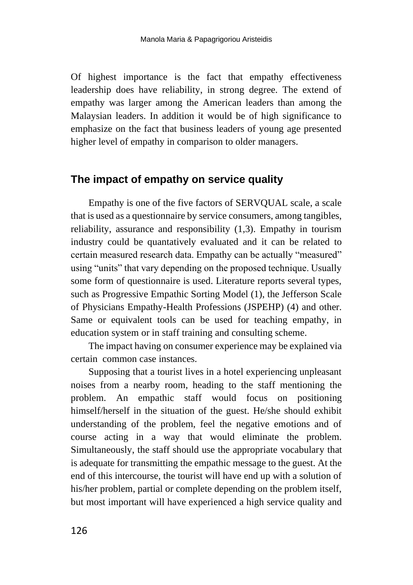Of highest importance is the fact that empathy effectiveness leadership does have reliability, in strong degree. The extend of empathy was larger among the American leaders than among the Malaysian leaders. In addition it would be of high significance to emphasize on the fact that business leaders of young age presented higher level of empathy in comparison to older managers.

### **The impact of empathy on service quality**

Empathy is one of the five factors of SERVQUAL scale, a scale that is used as a questionnaire by service consumers, among tangibles, reliability, assurance and responsibility (1,3). Empathy in tourism industry could be quantatively evaluated and it can be related to certain measured research data. Empathy can be actually "measured" using "units" that vary depending on the proposed technique. Usually some form of questionnaire is used. Literature reports several types, such as Progressive Empathic Sorting Model (1), the Jefferson Scale of Physicians Empathy-Health Professions (JSPEHP) (4) and other. Same or equivalent tools can be used for teaching empathy, in education system or in staff training and consulting scheme.

The impact having on consumer experience may be explained via certain common case instances.

Supposing that a tourist lives in a hotel experiencing unpleasant noises from a nearby room, heading to the staff mentioning the problem. An empathic staff would focus on positioning himself/herself in the situation of the guest. He/she should exhibit understanding of the problem, feel the negative emotions and of course acting in a way that would eliminate the problem. Simultaneously, the staff should use the appropriate vocabulary that is adequate for transmitting the empathic message to the guest. At the end of this intercourse, the tourist will have end up with a solution of his/her problem, partial or complete depending on the problem itself, but most important will have experienced a high service quality and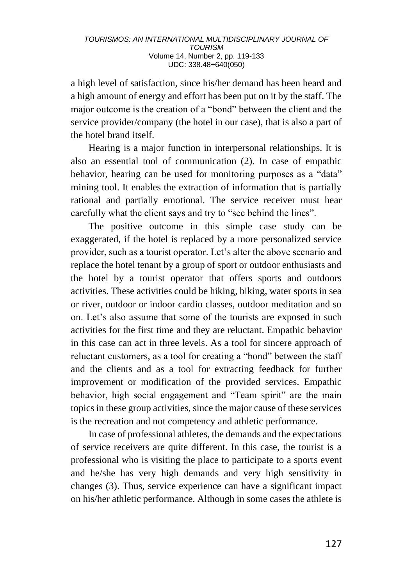a high level of satisfaction, since his/her demand has been heard and a high amount of energy and effort has been put on it by the staff. The major outcome is the creation of a "bond" between the client and the service provider/company (the hotel in our case), that is also a part of the hotel brand itself.

Hearing is a major function in interpersonal relationships. It is also an essential tool of communication (2). In case of empathic behavior, hearing can be used for monitoring purposes as a "data" mining tool. It enables the extraction of information that is partially rational and partially emotional. The service receiver must hear carefully what the client says and try to "see behind the lines".

The positive outcome in this simple case study can be exaggerated, if the hotel is replaced by a more personalized service provider, such as a tourist operator. Let's alter the above scenario and replace the hotel tenant by a group of sport or outdoor enthusiasts and the hotel by a tourist operator that offers sports and outdoors activities. These activities could be hiking, biking, water sports in sea or river, outdoor or indoor cardio classes, outdoor meditation and so on. Let's also assume that some of the tourists are exposed in such activities for the first time and they are reluctant. Empathic behavior in this case can act in three levels. As a tool for sincere approach of reluctant customers, as a tool for creating a "bond" between the staff and the clients and as a tool for extracting feedback for further improvement or modification of the provided services. Empathic behavior, high social engagement and "Team spirit" are the main topics in these group activities, since the major cause of these services is the recreation and not competency and athletic performance.

In case of professional athletes, the demands and the expectations of service receivers are quite different. In this case, the tourist is a professional who is visiting the place to participate to a sports event and he/she has very high demands and very high sensitivity in changes (3). Thus, service experience can have a significant impact on his/her athletic performance. Although in some cases the athlete is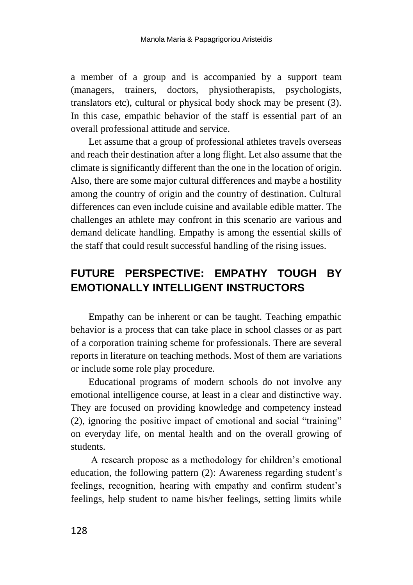a member of a group and is accompanied by a support team (managers, trainers, doctors, physiotherapists, psychologists, translators etc), cultural or physical body shock may be present (3). In this case, empathic behavior of the staff is essential part of an overall professional attitude and service.

Let assume that a group of professional athletes travels overseas and reach their destination after a long flight. Let also assume that the climate is significantly different than the one in the location of origin. Also, there are some major cultural differences and maybe a hostility among the country of origin and the country of destination. Cultural differences can even include cuisine and available edible matter. The challenges an athlete may confront in this scenario are various and demand delicate handling. Empathy is among the essential skills of the staff that could result successful handling of the rising issues.

# **FUTURE PERSPECTIVE: EMPATHY TOUGH BY EMOTIONALLY INTELLIGENT INSTRUCTORS**

Empathy can be inherent or can be taught. Teaching empathic behavior is a process that can take place in school classes or as part of a corporation training scheme for professionals. There are several reports in literature on teaching methods. Most of them are variations or include some role play procedure.

Educational programs of modern schools do not involve any emotional intelligence course, at least in a clear and distinctive way. They are focused on providing knowledge and competency instead (2), ignoring the positive impact of emotional and social "training" on everyday life, on mental health and on the overall growing of students.

A research propose as a methodology for children's emotional education, the following pattern (2): Awareness regarding student's feelings, recognition, hearing with empathy and confirm student's feelings, help student to name his/her feelings, setting limits while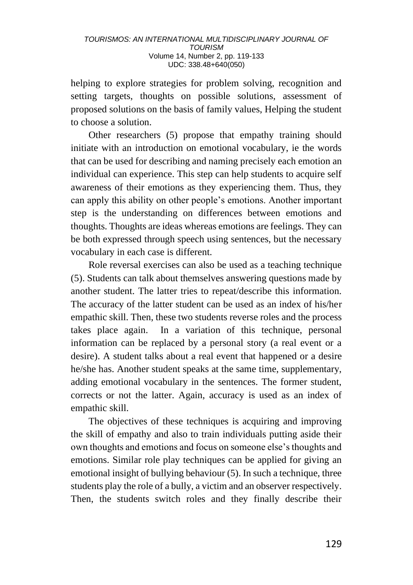helping to explore strategies for problem solving, recognition and setting targets, thoughts on possible solutions, assessment of proposed solutions on the basis of family values, Helping the student to choose a solution.

Other researchers (5) propose that empathy training should initiate with an introduction on emotional vocabulary, ie the words that can be used for describing and naming precisely each emotion an individual can experience. This step can help students to acquire self awareness of their emotions as they experiencing them. Thus, they can apply this ability on other people's emotions. Another important step is the understanding on differences between emotions and thoughts. Thoughts are ideas whereas emotions are feelings. They can be both expressed through speech using sentences, but the necessary vocabulary in each case is different.

Role reversal exercises can also be used as a teaching technique (5). Students can talk about themselves answering questions made by another student. The latter tries to repeat/describe this information. The accuracy of the latter student can be used as an index of his/her empathic skill. Then, these two students reverse roles and the process takes place again. In a variation of this technique, personal information can be replaced by a personal story (a real event or a desire). A student talks about a real event that happened or a desire he/she has. Another student speaks at the same time, supplementary, adding emotional vocabulary in the sentences. The former student, corrects or not the latter. Again, accuracy is used as an index of empathic skill.

The objectives of these techniques is acquiring and improving the skill of empathy and also to train individuals putting aside their own thoughts and emotions and focus on someone else's thoughts and emotions. Similar role play techniques can be applied for giving an emotional insight of bullying behaviour (5). In such a technique, three students play the role of a bully, a victim and an observer respectively. Then, the students switch roles and they finally describe their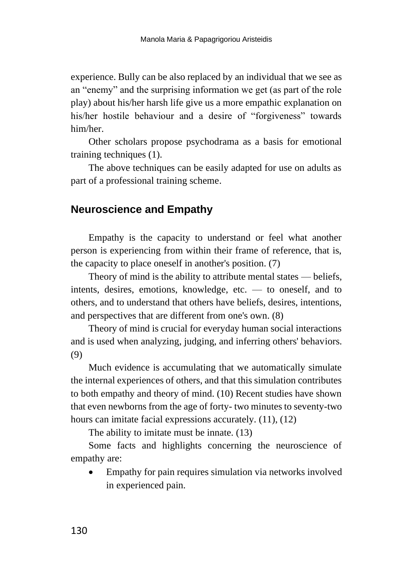experience. Bully can be also replaced by an individual that we see as an "enemy" and the surprising information we get (as part of the role play) about his/her harsh life give us a more empathic explanation on his/her hostile behaviour and a desire of "forgiveness" towards him/her.

Other scholars propose psychodrama as a basis for emotional training techniques (1).

The above techniques can be easily adapted for use on adults as part of a professional training scheme.

## **Neuroscience and Empathy**

Empathy is the capacity to understand or feel what another person is experiencing from within their frame of reference, that is, the capacity to place oneself in another's position. (7)

Theory of mind is the ability to attribute mental states — beliefs, intents, desires, emotions, knowledge, etc. — to oneself, and to others, and to understand that others have beliefs, desires, intentions, and perspectives that are different from one's own. (8)

Theory of mind is crucial for everyday human social interactions and is used when analyzing, judging, and inferring others' behaviors. (9)

Much evidence is accumulating that we automatically simulate the internal experiences of others, and that this simulation contributes to both empathy and theory of mind. (10) Recent studies have shown that even newborns from the age of forty- two minutes to seventy-two hours can imitate facial expressions accurately.  $(11)$ ,  $(12)$ 

The ability to imitate must be innate. (13)

Some facts and highlights concerning the neuroscience of empathy are:

• Empathy for pain requires simulation via networks involved in experienced pain.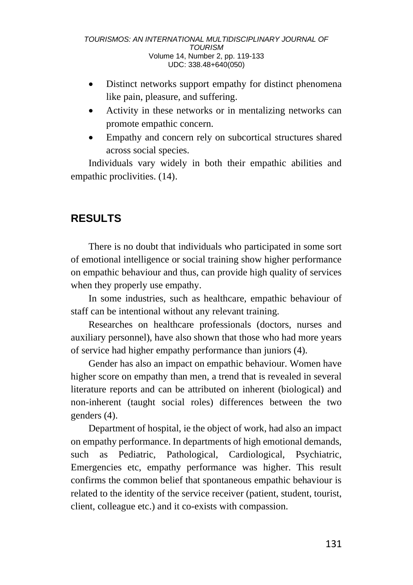- Distinct networks support empathy for distinct phenomena like pain, pleasure, and suffering.
- Activity in these networks or in mentalizing networks can promote empathic concern.
- Empathy and concern rely on subcortical structures shared across social species.

Individuals vary widely in both their empathic abilities and empathic proclivities. (14).

# **RESULTS**

There is no doubt that individuals who participated in some sort of emotional intelligence or social training show higher performance on empathic behaviour and thus, can provide high quality of services when they properly use empathy.

In some industries, such as healthcare, empathic behaviour of staff can be intentional without any relevant training.

Researches on healthcare professionals (doctors, nurses and auxiliary personnel), have also shown that those who had more years of service had higher empathy performance than juniors (4).

Gender has also an impact on empathic behaviour. Women have higher score on empathy than men, a trend that is revealed in several literature reports and can be attributed on inherent (biological) and non-inherent (taught social roles) differences between the two genders (4).

Department of hospital, ie the object of work, had also an impact on empathy performance. In departments of high emotional demands, such as Pediatric, Pathological, Cardiological, Psychiatric, Emergencies etc, empathy performance was higher. This result confirms the common belief that spontaneous empathic behaviour is related to the identity of the service receiver (patient, student, tourist, client, colleague etc.) and it co-exists with compassion.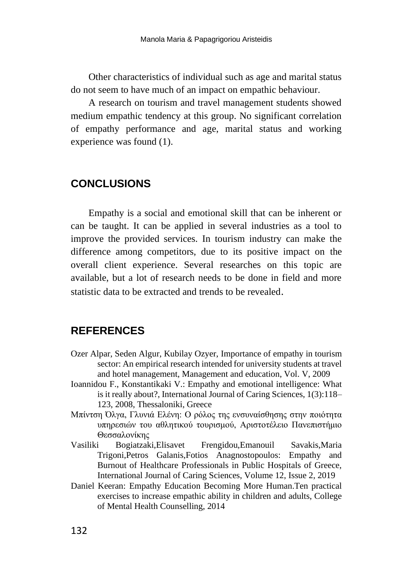Other characteristics of individual such as age and marital status do not seem to have much of an impact on empathic behaviour.

A research on tourism and travel management students showed medium empathic tendency at this group. No significant correlation of empathy performance and age, marital status and working experience was found (1).

### **CONCLUSIONS**

Empathy is a social and emotional skill that can be inherent or can be taught. It can be applied in several industries as a tool to improve the provided services. In tourism industry can make the difference among competitors, due to its positive impact on the overall client experience. Several researches on this topic are available, but a lot of research needs to be done in field and more statistic data to be extracted and trends to be revealed.

### **REFERENCES**

- Ozer Alpar, Seden Algur, Kubilay Ozyer, Importance of empathy in tourism sector: An empirical research intended for university students at travel and hotel management, Management and education, Vol. V, 2009
- Ioannidou F., Konstantikaki V.: Empathy and emotional intelligence: What is it really about?, International Journal of Caring Sciences, 1(3):118– 123, 2008, Thessaloniki, Greece
- Μπίντση Όλγα, Γλυνιά Ελένη: Ο ρόλος της ενσυναίσθησης στην ποιότητα υπηρεσιών του αθλητικού τουρισμού, Αριστοτέλειο Πανεπιστήμιο Θεσσαλονίκης
- Vasiliki Bogiatzaki,Elisavet Frengidou,Emanouil Savakis,Maria Trigoni,Petros Galanis,Fotios Anagnostopoulos: Empathy and Burnout of Healthcare Professionals in Public Hospitals of Greece, International Journal of Caring Sciences, Volume 12, Issue 2, 2019
- Daniel Keeran: Empathy Education Becoming More Human.Ten practical exercises to increase empathic ability in children and adults, College of Mental Health Counselling, 2014